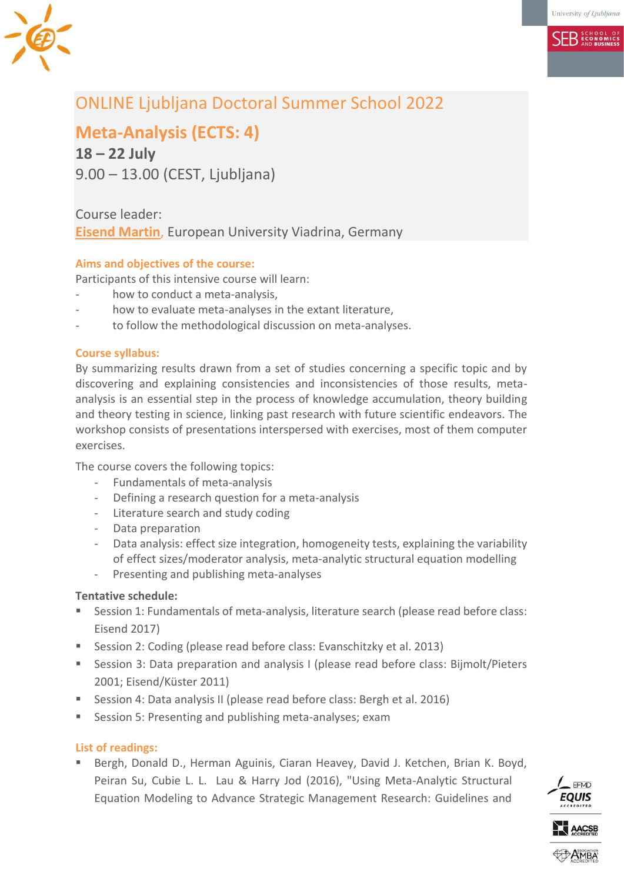**SER ECONOMICS** 

# ONLINE Ljubljana Doctoral Summer School 2022

**Meta-Analysis (ECTS: 4)**

**18 – 22 July** 9.00 – 13.00 (CEST, Ljubljana)

# Course leader: **Eisend [Martin](mailto:eisend@europa-uni.de)**, European University Viadrina, Germany

# **Aims and objectives of the course:**

Participants of this intensive course will learn:

- how to conduct a meta-analysis,
- how to evaluate meta-analyses in the extant literature,
- to follow the methodological discussion on meta-analyses.

## **Course syllabus:**

By summarizing results drawn from a set of studies concerning a specific topic and by discovering and explaining consistencies and inconsistencies of those results, metaanalysis is an essential step in the process of knowledge accumulation, theory building and theory testing in science, linking past research with future scientific endeavors. The workshop consists of presentations interspersed with exercises, most of them computer exercises.

The course covers the following topics:

- Fundamentals of meta-analysis
- Defining a research question for a meta-analysis
- Literature search and study coding
- Data preparation
- Data analysis: effect size integration, homogeneity tests, explaining the variability of effect sizes/moderator analysis, meta-analytic structural equation modelling
- Presenting and publishing meta-analyses

# **Tentative schedule:**

- Session 1: Fundamentals of meta-analysis, literature search (please read before class: Eisend 2017)
- Session 2: Coding (please read before class: Evanschitzky et al. 2013)
- Session 3: Data preparation and analysis I (please read before class: Bijmolt/Pieters 2001; Eisend/Küster 2011)
- Session 4: Data analysis II (please read before class: Bergh et al. 2016)
- Session 5: Presenting and publishing meta-analyses: exam

## **List of readings:**

 Bergh, Donald D., Herman Aguinis, Ciaran Heavey, David J. Ketchen, Brian K. Boyd, Peiran Su, Cubie L. L. Lau & Harry Jod (2016), "Using Meta-Analytic Structural Equation Modeling to Advance Strategic Management Research: Guidelines and